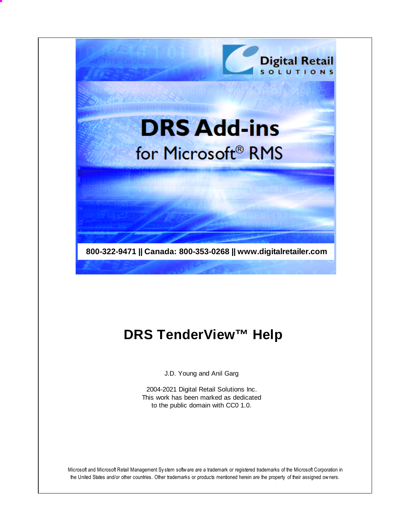

# **DRS TenderView™ Help**

J.D. Young and Anil Garg

2004-2021 Digital Retail Solutions Inc. This work has been marked as dedicated to the public domain with CC0 1.0.

Microsoft and Microsoft Retail Management Sy stem software are a trademark or registered trademarks of the Microsoft Corporation in the United States and/or other countries. Other trademarks or products mentioned herein are the property of their assigned owners.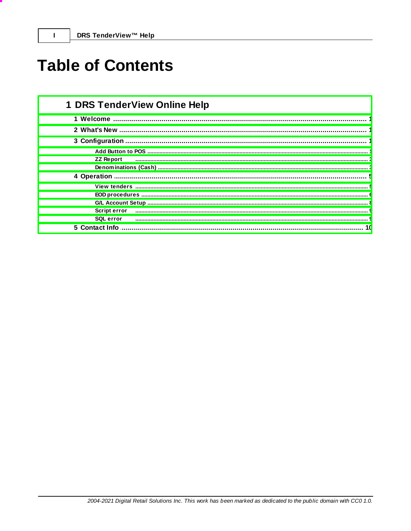$\mathbf{I}$ 

# **Table of Contents**

| <b>1 DRS TenderView Online Help</b> |
|-------------------------------------|
|                                     |
|                                     |
|                                     |
|                                     |
| <b>ZZ Report</b>                    |
|                                     |
|                                     |
|                                     |
|                                     |
|                                     |
| <b>Script error</b>                 |
| <b>SQL</b> error                    |
| 5 Contact Info                      |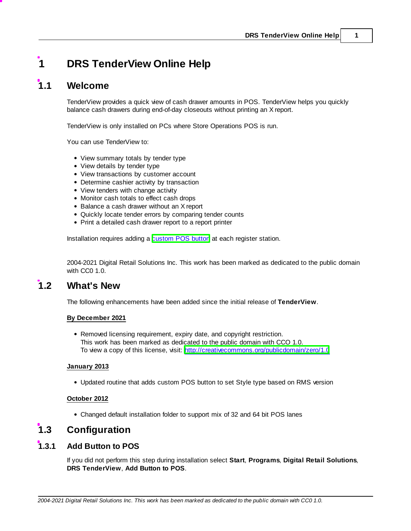# <span id="page-2-0"></span>**1 DRS TenderView Online Help**

# **1.1 Welcome**

TenderView provides a quick view of cash drawer amounts in POS. TenderView helps you quickly balance cash drawers during end-of-day closeouts without printing an X report.

TenderView is only installed on PCs where Store Operations POS is run.

You can use TenderView to:

- View summary totals by tender type
- View details by tender type
- View transactions by customer account
- Determine cashier activity by transaction
- View tenders with change activity
- Monitor cash totals to effect cash drops
- Balance a cash drawer without an X report
- Quickly locate tender errors by comparing tender counts
- Print a detailed cash drawer report to a report printer

Installation requires adding a [custom](#page-2-2) POS button at each register station.

2004-2021 Digital Retail Solutions Inc. This work has been marked as dedicated to the public domain with CC0 1.0.

## <span id="page-2-1"></span>**1.2 What's New**

The following enhancements have been added since the initial release of **TenderView**.

#### **By December 2021**

Removed licensing requirement, expiry date, and copyright restriction. This work has been marked as dedicated to the public domain with CCO 1.0. To view a copy of this license, visit: <http://creativecommons.org/publicdomain/zero/1.0>

#### **January 2013**

Updated routine that adds custom POS button to set Style type based on RMS version

#### **October 2012**

Changed default installation folder to support mix of 32 and 64 bit POS lanes

# <span id="page-2-2"></span>**1.3 Configuration**

### **1.3.1 Add Button to POS**

If you did not perform this step during installation select **Start**, **Programs**, **Digital Retail Solutions**, **DRS TenderView**, **Add Button to POS**.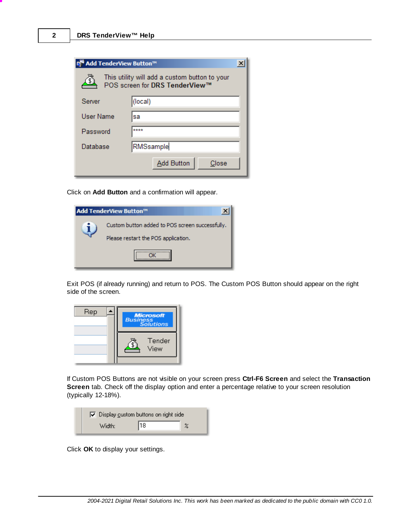| <mark>¤ Add TenderView Button™</mark>                                           |                            |  |  |  |
|---------------------------------------------------------------------------------|----------------------------|--|--|--|
| This utility will add a custom button to your<br>POS screen for DRS TenderView™ |                            |  |  |  |
| Server                                                                          | (local)                    |  |  |  |
| User Name                                                                       | sa                         |  |  |  |
| Password                                                                        | ****                       |  |  |  |
| Database                                                                        | RMSsample                  |  |  |  |
|                                                                                 | <b>Add Button</b><br>Close |  |  |  |

Click on **Add Button** and a confirmation will appear.

| Add TenderView Button™                                                                 |
|----------------------------------------------------------------------------------------|
| Custom button added to POS screen successfully.<br>Please restart the POS application. |
|                                                                                        |

Exit POS (if already running) and return to POS. The Custom POS Button should appear on the right side of the screen.



If Custom POS Buttons are not visible on your screen press **Ctrl-F6 Screen** and select the **Transaction Screen** tab. Check off the display option and enter a percentage relative to your screen resolution (typically 12-18%).

| $\nabla$ Display custom buttons on right side |    |  |
|-----------------------------------------------|----|--|
| Width:                                        | 18 |  |

Click **OK** to display your settings.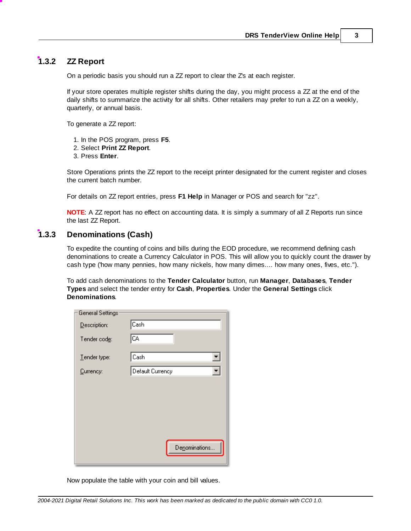## <span id="page-4-0"></span>**1.3.2 ZZ Report**

On a periodic basis you should run a ZZ report to clear the Z's at each register.

If your store operates multiple register shifts during the day, you might process a ZZ at the end of the daily shifts to summarize the activity for all shifts. Other retailers may prefer to run a ZZ on a weekly, quarterly, or annual basis.

To generate a ZZ report:

- 1. In the POS program, press **F5**.
- 2. Select **Print ZZ Report**.
- 3. Press **Enter**.

Store Operations prints the ZZ report to the receipt printer designated for the current register and closes the current batch number.

For details on ZZ report entries, press **F1 Help** in Manager or POS and search for "zz".

**NOTE**: A ZZ report has no effect on accounting data. It is simply a summary of all Z Reports run since the last ZZ Report.

### <span id="page-4-1"></span>**1.3.3 Denominations (Cash)**

To expedite the counting of coins and bills during the EOD procedure, we recommend defining cash denominations to create a Currency Calculator in POS. This will allow you to quickly count the drawer by cash type ('how many pennies, how many nickels, how many dimes.... how many ones, fives, etc.").

To add cash denominations to the **Tender Calculator** button, run **Manager**, **Databases**, **Tender Types** and select the tender entry for **Cash**, **Properties**. Under the **General Settings** click **Denominations**.

| <b>General Settings</b> |                  |
|-------------------------|------------------|
| Description:            | Cash             |
| Tender code:            | CA               |
| Tender type:            | Cash             |
| Currency:               | Default Currency |
|                         |                  |
|                         |                  |
|                         |                  |
|                         |                  |
|                         | Denominations    |
|                         |                  |

Now populate the table with your coin and bill values.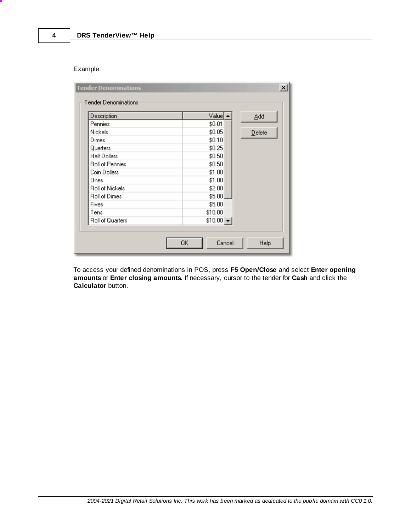Example:

| Description            | $Value  \triangleq$ | Add    |
|------------------------|---------------------|--------|
| Pennies                | \$0.01              |        |
| Nickels                | \$0.05              | Delete |
| Dimes                  | \$0.10              |        |
| Quarters               | \$0.25              |        |
| Half Dollars           | \$0.50              |        |
| <b>Roll of Pennies</b> | \$0.50              |        |
| Coin Dollars           | \$1.00              |        |
| Ones                   | \$1.00              |        |
| <b>Roll of Nickels</b> | \$2.00              |        |
| <b>Roll of Dimes</b>   | \$5.00              |        |
| Fives                  | \$5.00              |        |
| Tens                   | \$10.00             |        |
| Roll of Quarters       | $$10.00 -$          |        |

To access your defined denominations in POS, press **F5 Open/Close** and select **Enter opening amounts** or **Enter closing amounts**. If necessary, cursor to the tender for **Cash** and click the **Calculator** button.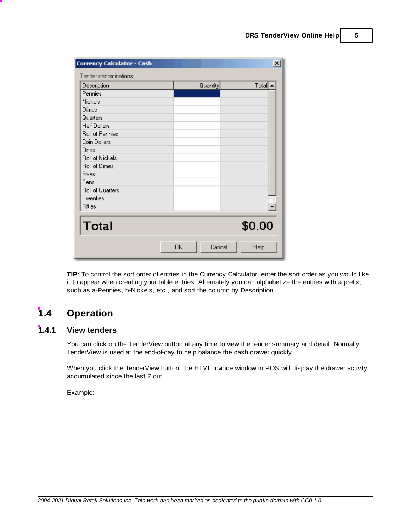| <b>Currency Calculator - Cash</b> |              | $\vert x \vert$ |
|-----------------------------------|--------------|-----------------|
| Tender denominations:             |              |                 |
| Description                       | Quantity     | $Total \cdot$   |
| Pennies                           |              |                 |
| Nickels                           |              |                 |
| Dimes                             |              |                 |
| Quarters                          |              |                 |
| Half Dollars                      |              |                 |
| Roll of Pennies                   |              |                 |
| Coin Dollars                      |              |                 |
| Ones                              |              |                 |
| Roll of Nickels                   |              |                 |
| Roll of Dimes                     |              |                 |
| Fives                             |              |                 |
| Tens                              |              |                 |
| Roll of Quarters                  |              |                 |
| Twenties                          |              |                 |
| Fifties                           |              |                 |
|                                   |              |                 |
| <b>Total</b>                      |              | \$0.00          |
|                                   | 0K<br>Cancel | Help            |

**TIP**: To control the sort order of entries in the Currency Calculator, enter the sort order as you would like it to appear when creating your table entries. Alternately you can alphabetize the entries with a prefix, such as a-Pennies, b-Nickels, etc., and sort the column by Description.

# <span id="page-6-0"></span>**1.4 Operation**

# **1.4.1 View tenders**

You can click on the TenderView button at any time to view the tender summary and detail. Normally TenderView is used at the end-of-day to help balance the cash drawer quickly.

When you click the TenderView button, the HTML invoice window in POS will display the drawer activity accumulated since the last Z out.

Example: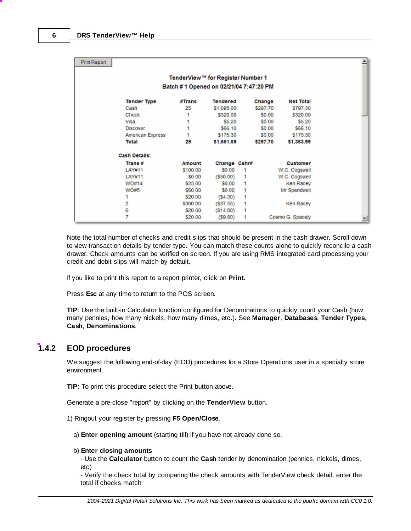| <b>Print Report</b> |                         |                                        |                 |   |          |                  |  |
|---------------------|-------------------------|----------------------------------------|-----------------|---|----------|------------------|--|
|                     |                         | TenderView™ for Register Number 1      |                 |   |          |                  |  |
|                     |                         | Batch #1 Opened on 02/21/04 7:47:20 PM |                 |   |          |                  |  |
|                     | <b>Tender Type</b>      | #Trans                                 | <b>Tendered</b> |   | Change   | <b>Net Total</b> |  |
|                     | Cash                    | 25                                     | \$1,095.00      |   | \$297.70 | \$797.30         |  |
|                     | Check                   |                                        | \$320.09        |   | \$0.00   | \$320.09         |  |
|                     | Visa                    |                                        | \$5.20          |   | \$0.00   | \$5.20           |  |
|                     | <b>Discover</b>         |                                        | \$66.10         |   | \$0.00   | \$66.10          |  |
|                     | <b>American Express</b> |                                        | \$175.30        |   | \$0.00   | \$175.30         |  |
|                     | <b>Total</b>            | 29                                     | \$1,661.69      |   | \$297.70 | \$1,363.99       |  |
|                     | <b>Cash Details:</b>    |                                        |                 |   |          |                  |  |
|                     | Trans#                  | Amount                                 | Change Cshr#    |   |          | Customer         |  |
|                     | LAY#11                  | \$100.00                               | \$0.00          | 1 |          | W.C. Cogswell    |  |
|                     | LAY#11                  | \$0.00                                 | $($ \$50.00)    | 1 |          | W.C. Cogswell    |  |
|                     | WO#14                   | \$25.00                                | \$0.00          | 1 |          | <b>Ken Racey</b> |  |
|                     | <b>WO#5</b>             | \$60.00                                | \$0.00          | 1 |          | Mr Spendwell     |  |
|                     |                         | \$20.00                                | (S4.30)         | 1 |          |                  |  |
|                     | 2                       | \$300.00                               | (S37.55)        | 1 |          | <b>Ken Racey</b> |  |
|                     | 6                       | \$20.00                                | (S14.80)        | 1 |          |                  |  |
|                     | 7                       | \$20.00                                | (S9.80)         | 1 |          | Cosmo G. Spacely |  |

Note the total number of checks and credit slips that should be present in the cash drawer. Scroll down to view transaction details by tender type. You can match these counts alone to quickly reconcile a cash drawer. Check amounts can be verified on screen. If you are using RMS integrated card processing your credit and debit slips will match by default.

If you like to print this report to a report printer, click on **Print**.

Press **Esc** at any time to return to the POS screen.

**TIP**: Use the built-in Calculator function configured for Denominations to quickly count your Cash (how many pennies, how many nickels, how many dimes, etc.). See **Manager**, **Databases**, **Tender Types**, **Cash**, **Denominations**.

### <span id="page-7-0"></span>**1.4.2 EOD procedures**

We suggest the following end-of-day (EOD) procedures for a Store Operations user in a specialty store environment.

**TIP**: To print this procedure select the Print button above.

Generate a pre-close "report" by clicking on the **TenderView** button.

1) Ringout your register by pressing **F5 Open/Close**.

a) **Enter opening amount** (starting till) if you have not already done so.

#### b) **Enter closing amounts**

- Use the **Calculator** button to count the **Cash** tender by denomination (pennies, nickels, dimes, etc)

- Verify the check total by comparing the check amounts with TenderView check detail; enter the total if checks match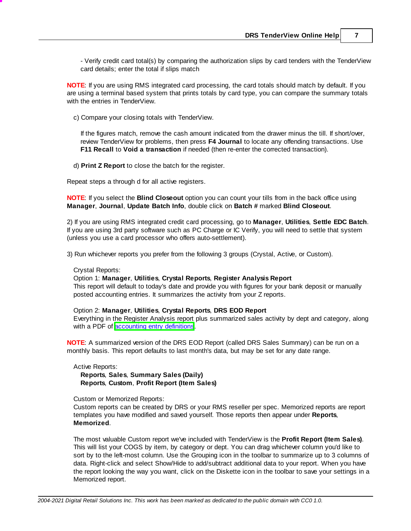- Verify credit card total(s) by comparing the authorization slips by card tenders with the TenderView card details; enter the total if slips match

**NOTE**: If you are using RMS integrated card processing, the card totals should match by default. If you are using a terminal based system that prints totals by card type, you can compare the summary totals with the entries in TenderView.

c) Compare your closing totals with TenderView.

If the figures match, remove the cash amount indicated from the drawer minus the till. If short/over, review TenderView for problems, then press **F4 Journal** to locate any offending transactions. Use **F11 Recall** to **Void a transaction** if needed (then re-enter the corrected transaction).

d) **Print Z Report** to close the batch for the register.

Repeat steps a through d for all active registers.

**NOTE**: If you select the **Blind Closeout** option you can count your tills from in the back office using **Manager**, **Journal**, **Update Batch Info**, double click on **Batch #** marked **Blind Closeout**.

2) If you are using RMS integrated credit card processing, go to **Manager**, **Utilities**, **Settle EDC Batch**. If you are using 3rd party software such as PC Charge or IC Verify, you will need to settle that system (unless you use a card processor who offers auto-settlement).

3) Run whichever reports you prefer from the following 3 groups (Crystal, Active, or Custom).

Crystal Reports:

Option 1: **Manager**, **Utilities**, **Crystal Reports**, **Register Analysis Report**

This report will default to today's date and provide you with figures for your bank deposit or manually posted accounting entries. It summarizes the activity from your Z reports.

#### Option 2: **Manager**, **Utilities**, **Crystal Reports**, **DRS EOD Report**

Everything in the Register Analysis report plus summarized sales activity by dept and category, along with a PDF of [accounting](#page-9-1) entry definitions.

**NOTE**: A summarized version of the DRS EOD Report (called DRS Sales Summary) can be run on a monthly basis. This report defaults to last month's data, but may be set for any date range.

Active Reports:

**Reports**, **Sales**, **Summary Sales (Daily) Reports**, **Custom**, **Profit Report (Item Sales)**

Custom or Memorized Reports:

Custom reports can be created by DRS or your RMS reseller per spec. Memorized reports are report templates you have modified and saved yourself. Those reports then appear under **Reports**, **Memorized**.

The most valuable Custom report we've included with TenderView is the **Profit Report (Item Sales)**. This will list your COGS by item, by category or dept. You can drag whichever column you'd like to sort by to the left-most column. Use the Grouping icon in the toolbar to summarize up to 3 columns of data. Right-click and select Show/Hide to add/subtract additional data to your report. When you have the report looking the way you want, click on the Diskette icon in the toolbar to save your settings in a Memorized report.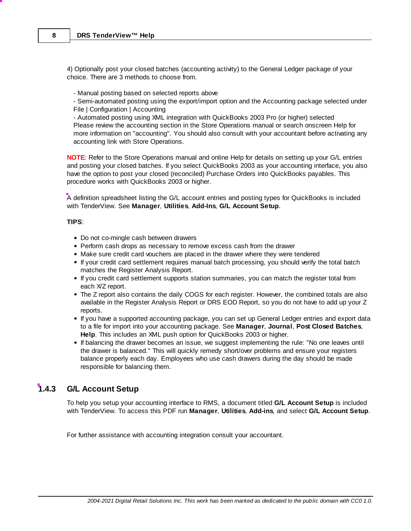4) Optionally post your closed batches (accounting activity) to the General Ledger package of your choice. There are 3 methods to choose from.

- Manual posting based on selected reports above

- Semi-automated posting using the export/import option and the Accounting package selected under File | Configuration | Accounting

- Automated posting using XML integration with QuickBooks 2003 Pro (or higher) selected Please review the accounting section in the Store Operations manual or search onscreen Help for more information on "accounting". You should also consult with your accountant before activating any accounting link with Store Operations.

**NOTE**: Refer to the Store Operations manual and online Help for details on setting up your G/L entries and posting your closed batches. If you select QuickBooks 2003 as your accounting interface, you also have the option to post your closed (reconciled) Purchase Orders into QuickBooks payables. This procedure works with QuickBooks 2003 or higher.

<span id="page-9-1"></span>A definition spreadsheet listing the G/L account entries and posting types for QuickBooks is included with TenderView. See **Manager**, **Utilities**, **Add-Ins**, **G/L Account Setup**.

### **TIPS**:

- Do not co-mingle cash between drawers
- Perform cash drops as necessary to remove excess cash from the drawer
- Make sure credit card vouchers are placed in the drawer where they were tendered
- If your credit card settlement requires manual batch processing, you should verify the total batch matches the Register Analysis Report.
- If you credit card settlement supports station summaries, you can match the register total from each X/Z report.
- The Z report also contains the daily COGS for each register. However, the combined totals are also available in the Register Analysis Report or DRS EOD Report, so you do not have to add up your Z reports.
- If you have a supported accounting package, you can set up General Ledger entries and export data to a file for import into your accounting package. See **Manager**, **Journal**, **Post Closed Batches**, **Help**. This includes an XML push option for QuickBooks 2003 or higher.
- If balancing the drawer becomes an issue, we suggest implementing the rule: "No one leaves until the drawer is balanced." This will quickly remedy short/over problems and ensure your registers balance properly each day. Employees who use cash drawers during the day should be made responsible for balancing them.

### <span id="page-9-0"></span>**1.4.3 G/L Account Setup**

To help you setup your accounting interface to RMS, a document titled **G/L Account Setup** is included with TenderView. To access this PDF run **Manager**, **Utilities**, **Add-ins**, and select **G/L Account Setup**.

For further assistance with accounting integration consult your accountant.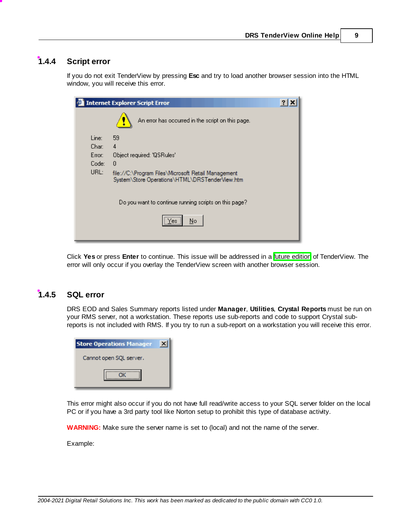### <span id="page-10-0"></span>**1.4.4 Script error**

If you do not exit TenderView by pressing **Esc** and try to load another browser session into the HTML window, you will receive this error.

|        | <b>Internet Explorer Script Error</b>                                                                 |  |
|--------|-------------------------------------------------------------------------------------------------------|--|
|        | An error has occurred in the script on this page.                                                     |  |
| Line:  | 59                                                                                                    |  |
| Char:  | 4                                                                                                     |  |
| Error: | Object required: 'QSRules'                                                                            |  |
| Code:  | 0                                                                                                     |  |
| URL:   | file://C:\Program Files\Microsoft Retail Management<br>System\Store Operations\HTML\DRSTenderView.htm |  |
|        | Do you want to continue running scripts on this page?                                                 |  |
|        | Yes:<br>No                                                                                            |  |

Click **Yes** or press **Enter** to continue. This issue will be addressed in a future edition of TenderView. The error will only occur if you overlay the TenderView screen with another browser session.

### <span id="page-10-1"></span>**1.4.5 SQL error**

DRS EOD and Sales Summary reports listed under **Manager**, **Utilities**, **Crystal Reports** must be run on your RMS server, not a workstation. These reports use sub-reports and code to support Crystal subreports is not included with RMS. If you try to run a sub-report on a workstation you will receive this error.

| <b>Store Operations Manager</b> |  |
|---------------------------------|--|
| Cannot open SQL server.         |  |
|                                 |  |

This error might also occur if you do not have full read/write access to your SQL server folder on the local PC or if you have a 3rd party tool like Norton setup to prohibit this type of database activity.

**WARNING:** Make sure the server name is set to (local) and not the name of the server.

Example: